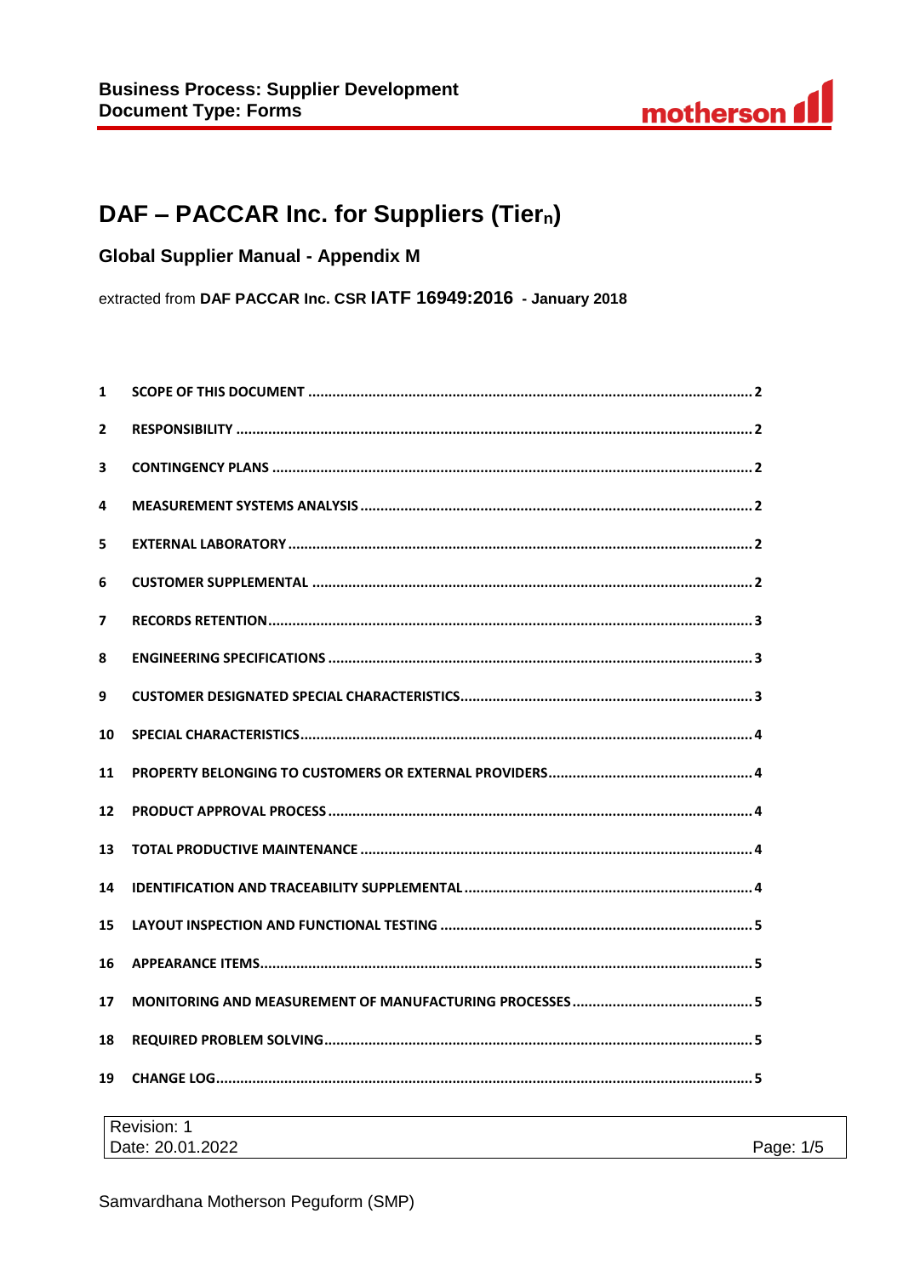

Page: 1/5

# DAF - PACCAR Inc. for Suppliers (Tiern)

**Global Supplier Manual - Appendix M** 

extracted from DAF PACCAR Inc. CSR IATF 16949:2016 - January 2018

| $\mathbf{1}$   |  |  |
|----------------|--|--|
| $\mathbf{2}$   |  |  |
| 3              |  |  |
| 4              |  |  |
| 5              |  |  |
| 6              |  |  |
| $\overline{ }$ |  |  |
| 8              |  |  |
| 9              |  |  |
| 10             |  |  |
| 11             |  |  |
| 12             |  |  |
| 13             |  |  |
| 14             |  |  |
| 15             |  |  |
| 16             |  |  |
| 17             |  |  |
| 18             |  |  |
| 19             |  |  |
| Revision: 1    |  |  |

Date: 20.01.2022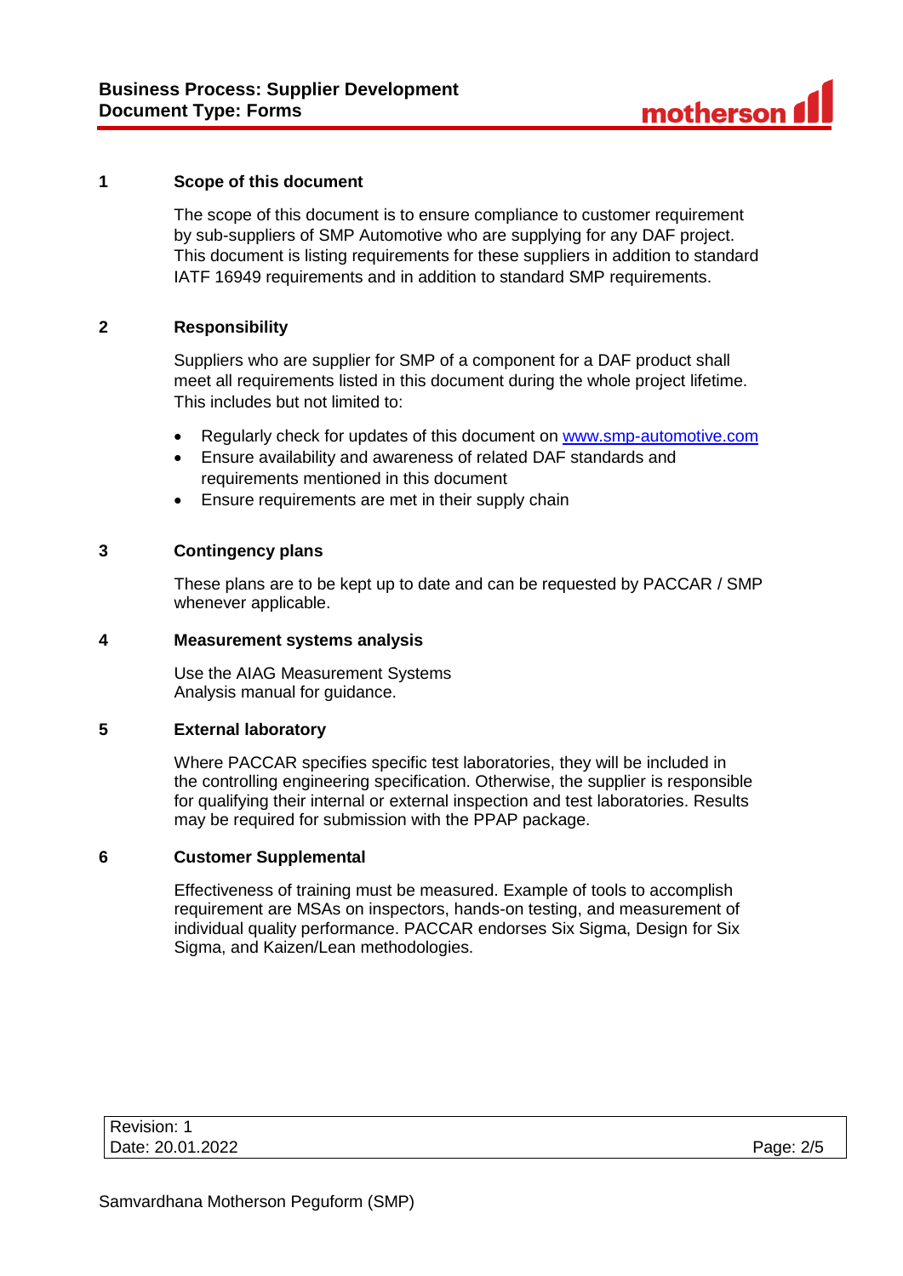## **1 Scope of this document**

The scope of this document is to ensure compliance to customer requirement by sub-suppliers of SMP Automotive who are supplying for any DAF project. This document is listing requirements for these suppliers in addition to standard IATF 16949 requirements and in addition to standard SMP requirements.

# **2 Responsibility**

Suppliers who are supplier for SMP of a component for a DAF product shall meet all requirements listed in this document during the whole project lifetime. This includes but not limited to:

- Regularly check for updates of this document on [www.smp-automotive.com](file:///C:/Users/B30577/Desktop/SMP%20Supplier%20Manual/Supplier%20Manual%20final/www.smp-automotive.com)
- Ensure availability and awareness of related DAF standards and requirements mentioned in this document
- Ensure requirements are met in their supply chain

## **3 Contingency plans**

These plans are to be kept up to date and can be requested by PACCAR / SMP whenever applicable.

# **4 Measurement systems analysis**

Use the AIAG Measurement Systems Analysis manual for guidance.

### **5 External laboratory**

Where PACCAR specifies specific test laboratories, they will be included in the controlling engineering specification. Otherwise, the supplier is responsible for qualifying their internal or external inspection and test laboratories. Results may be required for submission with the PPAP package.

## **6 Customer Supplemental**

Effectiveness of training must be measured. Example of tools to accomplish requirement are MSAs on inspectors, hands-on testing, and measurement of individual quality performance. PACCAR endorses Six Sigma, Design for Six Sigma, and Kaizen/Lean methodologies.

| Revision: 1      |           |
|------------------|-----------|
| Date: 20.01.2022 | Page: 2/5 |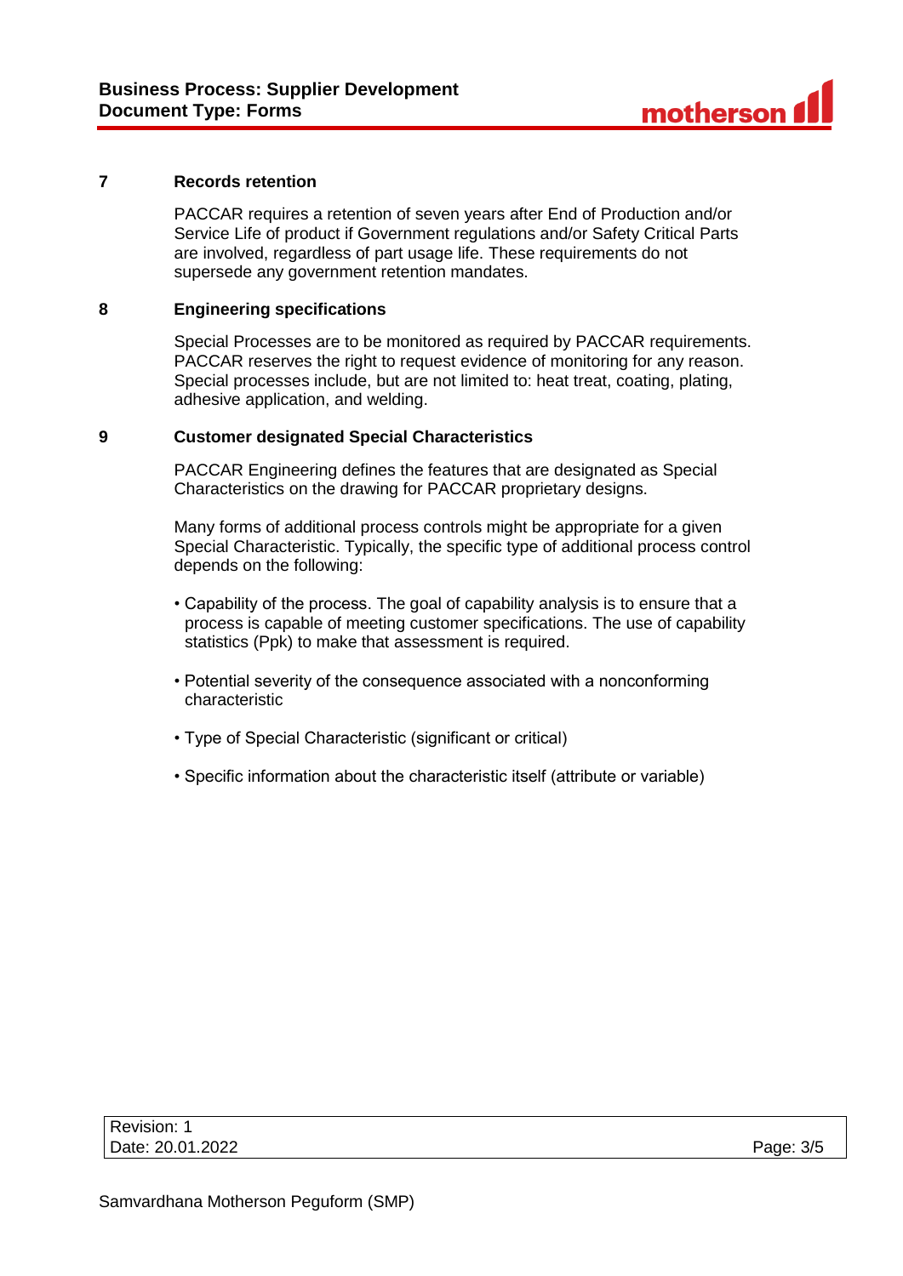## **7 Records retention**

PACCAR requires a retention of seven years after End of Production and/or Service Life of product if Government regulations and/or Safety Critical Parts are involved, regardless of part usage life. These requirements do not supersede any government retention mandates.

# **8 Engineering specifications**

Special Processes are to be monitored as required by PACCAR requirements. PACCAR reserves the right to request evidence of monitoring for any reason. Special processes include, but are not limited to: heat treat, coating, plating, adhesive application, and welding.

## **9 Customer designated Special Characteristics**

PACCAR Engineering defines the features that are designated as Special Characteristics on the drawing for PACCAR proprietary designs.

Many forms of additional process controls might be appropriate for a given Special Characteristic. Typically, the specific type of additional process control depends on the following:

- Capability of the process. The goal of capability analysis is to ensure that a process is capable of meeting customer specifications. The use of capability statistics (Ppk) to make that assessment is required.
- Potential severity of the consequence associated with a nonconforming characteristic
- Type of Special Characteristic (significant or critical)
- Specific information about the characteristic itself (attribute or variable)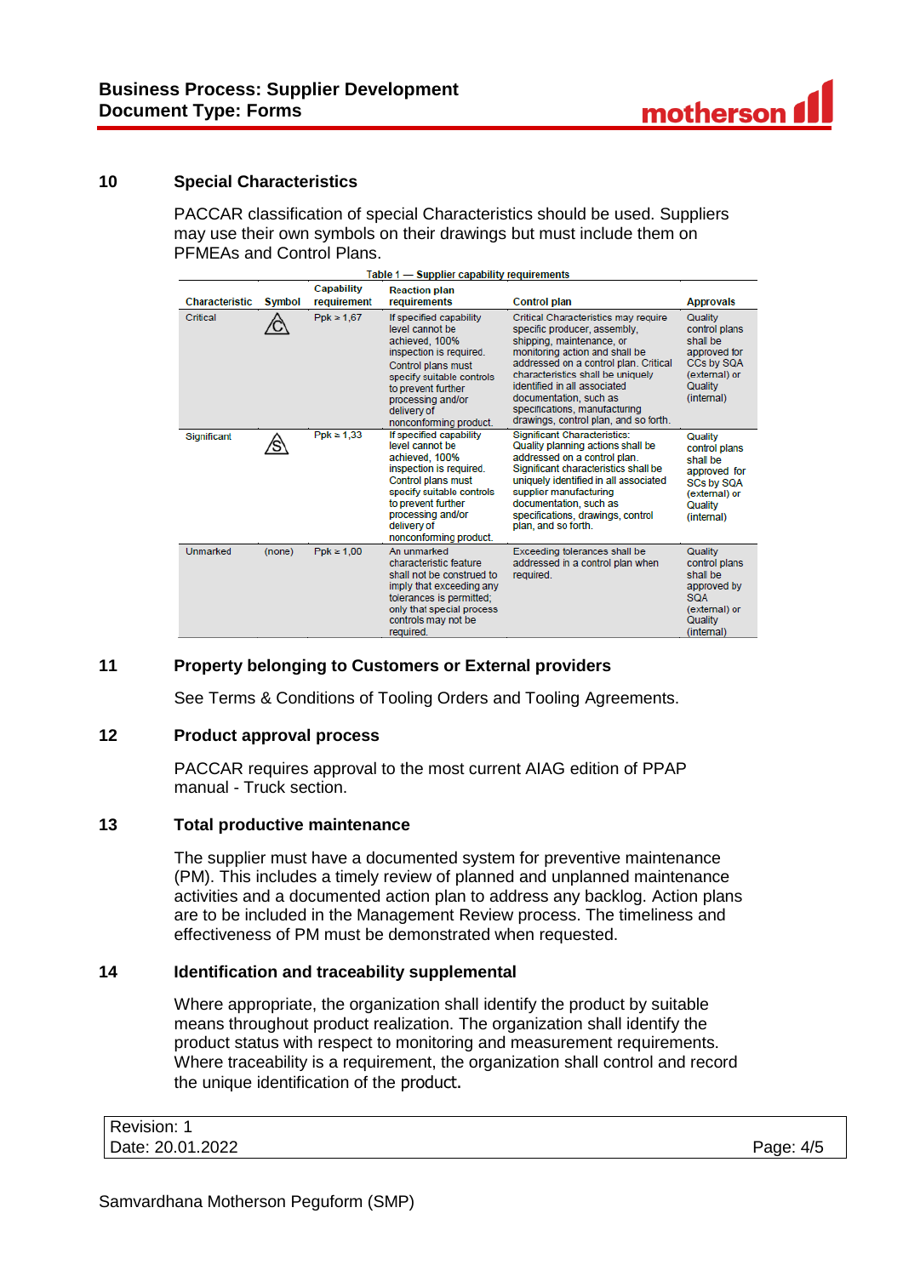# **10 Special Characteristics**

PACCAR classification of special Characteristics should be used. Suppliers may use their own symbols on their drawings but must include them on PFMEAs and Control Plans.

| Table 1 - Supplier capability requirements |               |                                  |                                                                                                                                                                                                                                       |                                                                                                                                                                                                                                                                                                                                                       |                                                                                                                     |
|--------------------------------------------|---------------|----------------------------------|---------------------------------------------------------------------------------------------------------------------------------------------------------------------------------------------------------------------------------------|-------------------------------------------------------------------------------------------------------------------------------------------------------------------------------------------------------------------------------------------------------------------------------------------------------------------------------------------------------|---------------------------------------------------------------------------------------------------------------------|
| <b>Characteristic</b>                      | <b>Symbol</b> | <b>Capability</b><br>requirement | <b>Reaction plan</b><br>requirements                                                                                                                                                                                                  | <b>Control plan</b>                                                                                                                                                                                                                                                                                                                                   | <b>Approvals</b>                                                                                                    |
| Critical                                   |               | $Ppk \ge 1.67$                   | If specified capability<br>level cannot be<br>achieved, 100%<br>inspection is required.<br>Control plans must<br>specify suitable controls<br>to prevent further<br>processing and/or<br>delivery of<br>nonconforming product.        | Critical Characteristics may require<br>specific producer, assembly,<br>shipping, maintenance, or<br>monitoring action and shall be<br>addressed on a control plan. Critical<br>characteristics shall be uniquely<br>identified in all associated<br>documentation, such as<br>specifications, manufacturing<br>drawings, control plan, and so forth. | Quality<br>control plans<br>shall be<br>approved for<br>CCs by SQA<br>(external) or<br>Quality<br>(internal)        |
| Significant                                |               | $Ppk \ge 1.33$                   | If specified capability<br>level cannot be<br>achieved, 100%<br>inspection is required.<br><b>Control plans must</b><br>specify suitable controls<br>to prevent further<br>processing and/or<br>delivery of<br>nonconforming product. | <b>Significant Characteristics:</b><br>Quality planning actions shall be<br>addressed on a control plan.<br>Significant characteristics shall be<br>uniquely identified in all associated<br>supplier manufacturing<br>documentation, such as<br>specifications, drawings, control<br>plan, and so forth.                                             | Quality<br>control plans<br>shall be<br>approved for<br><b>SCs by SQA</b><br>(external) or<br>Quality<br>(internal) |
| <b>Unmarked</b>                            | (none)        | $Ppk \ge 1.00$                   | An unmarked<br>characteristic feature<br>shall not be construed to<br>imply that exceeding any<br>tolerances is permitted:<br>only that special process<br>controls may not be<br>required.                                           | Exceeding tolerances shall be<br>addressed in a control plan when<br>required.                                                                                                                                                                                                                                                                        | Quality<br>control plans<br>shall be<br>approved by<br><b>SOA</b><br>(external) or<br>Quality<br>(internal)         |

# **11 Property belonging to Customers or External providers**

See Terms & Conditions of Tooling Orders and Tooling Agreements.

### **12 Product approval process**

PACCAR requires approval to the most current AIAG edition of PPAP manual - Truck section.

# **13 Total productive maintenance**

The supplier must have a documented system for preventive maintenance (PM). This includes a timely review of planned and unplanned maintenance activities and a documented action plan to address any backlog. Action plans are to be included in the Management Review process. The timeliness and effectiveness of PM must be demonstrated when requested.

### **14 Identification and traceability supplemental**

Where appropriate, the organization shall identify the product by suitable means throughout product realization. The organization shall identify the product status with respect to monitoring and measurement requirements. Where traceability is a requirement, the organization shall control and record the unique identification of the product.

| Revision: 1      |           |
|------------------|-----------|
| Date: 20.01.2022 | Page: 4/5 |